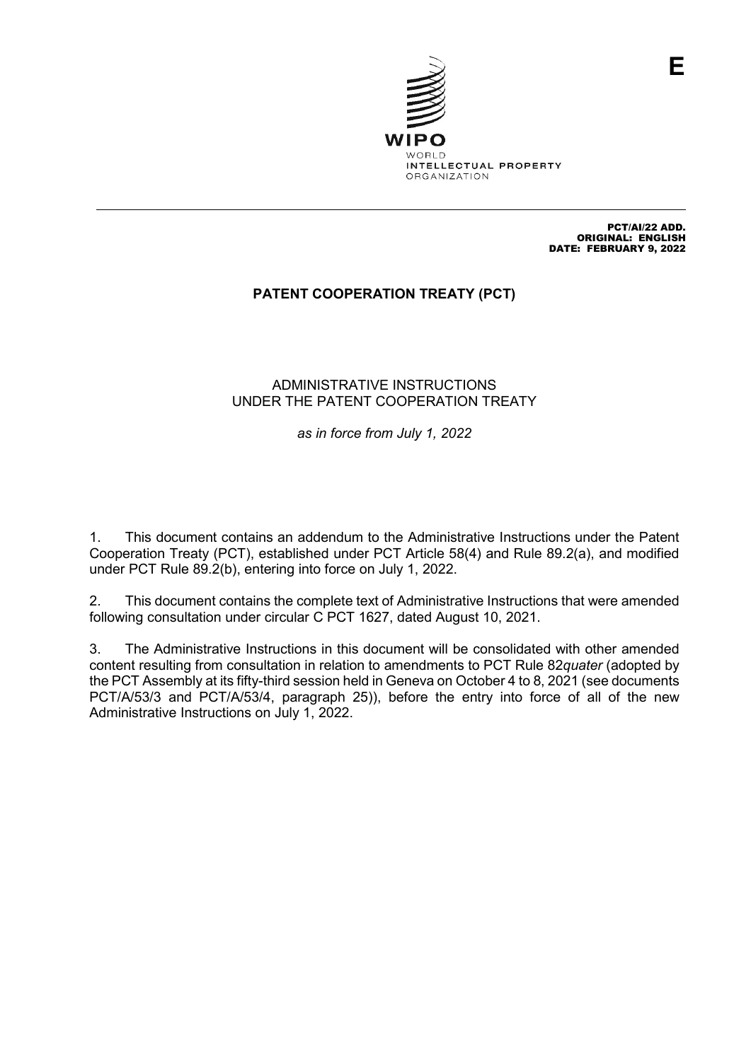

PCT/AI/22 ADD. ORIGINAL: ENGLISH DATE: FEBRUARY 9, 2022

# **PATENT COOPERATION TREATY (PCT)**

### ADMINISTRATIVE INSTRUCTIONS UNDER THE PATENT COOPERATION TREATY

*as in force from July 1, 2022*

1. This document contains an addendum to the Administrative Instructions under the Patent Cooperation Treaty (PCT), established under PCT Article 58(4) and Rule 89.2(a), and modified under PCT Rule 89.2(b), entering into force on July 1, 2022.

2. This document contains the complete text of Administrative Instructions that were amended following consultation under circular C PCT 1627, dated August 10, 2021.

3. The Administrative Instructions in this document will be consolidated with other amended content resulting from consultation in relation to amendments to PCT Rule 82*quater* (adopted by the PCT Assembly at its fifty-third session held in Geneva on October 4 to 8, 2021 (see documents PCT/A/53/3 and PCT/A/53/4, paragraph 25)), before the entry into force of all of the new Administrative Instructions on July 1, 2022.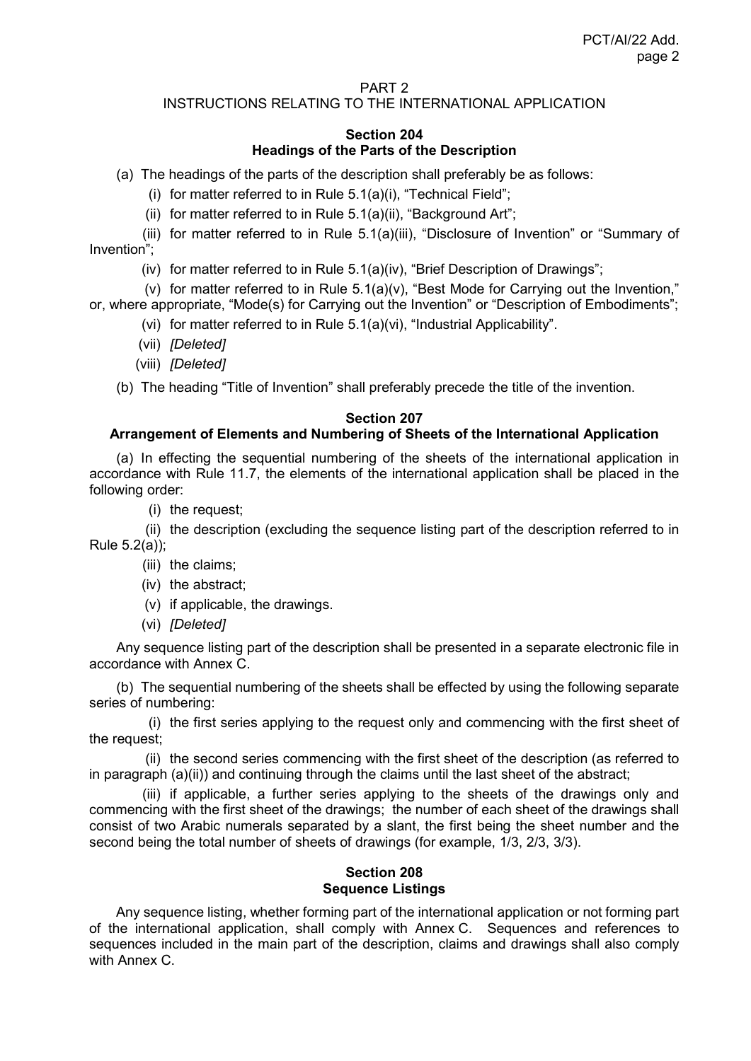#### PART 2

## INSTRUCTIONS RELATING TO THE INTERNATIONAL APPLICATION

### **Section 204 Headings of the Parts of the Description**

(a) The headings of the parts of the description shall preferably be as follows:

(i) for matter referred to in Rule 5.1(a)(i), "Technical Field";

(ii) for matter referred to in Rule 5.1(a)(ii), "Background Art";

(iii) for matter referred to in Rule 5.1(a)(iii), "Disclosure of Invention" or "Summary of Invention";

(iv) for matter referred to in Rule 5.1(a)(iv), "Brief Description of Drawings";

(v) for matter referred to in Rule 5.1(a)(v), "Best Mode for Carrying out the Invention," or, where appropriate, "Mode(s) for Carrying out the Invention" or "Description of Embodiments";

(vi) for matter referred to in Rule 5.1(a)(vi), "Industrial Applicability".

(vii) *[Deleted]*

(viii) *[Deleted]*

(b) The heading "Title of Invention" shall preferably precede the title of the invention.

### **Section 207**

### **Arrangement of Elements and Numbering of Sheets of the International Application**

(a) In effecting the sequential numbering of the sheets of the international application in accordance with Rule 11.7, the elements of the international application shall be placed in the following order:

(i) the request;

(ii) the description (excluding the sequence listing part of the description referred to in Rule 5.2(a));

- (iii) the claims;
- (iv) the abstract;
- (v) if applicable, the drawings.
- (vi) *[Deleted]*

Any sequence listing part of the description shall be presented in a separate electronic file in accordance with Annex C.

(b) The sequential numbering of the sheets shall be effected by using the following separate series of numbering:

(i) the first series applying to the request only and commencing with the first sheet of the request;

(ii) the second series commencing with the first sheet of the description (as referred to in paragraph (a)(ii)) and continuing through the claims until the last sheet of the abstract;

(iii) if applicable, a further series applying to the sheets of the drawings only and commencing with the first sheet of the drawings; the number of each sheet of the drawings shall consist of two Arabic numerals separated by a slant, the first being the sheet number and the second being the total number of sheets of drawings (for example, 1/3, 2/3, 3/3).

## **Section 208 Sequence Listings**

Any sequence listing, whether forming part of the international application or not forming part of the international application, shall comply with Annex C. Sequences and references to sequences included in the main part of the description, claims and drawings shall also comply with Annex C.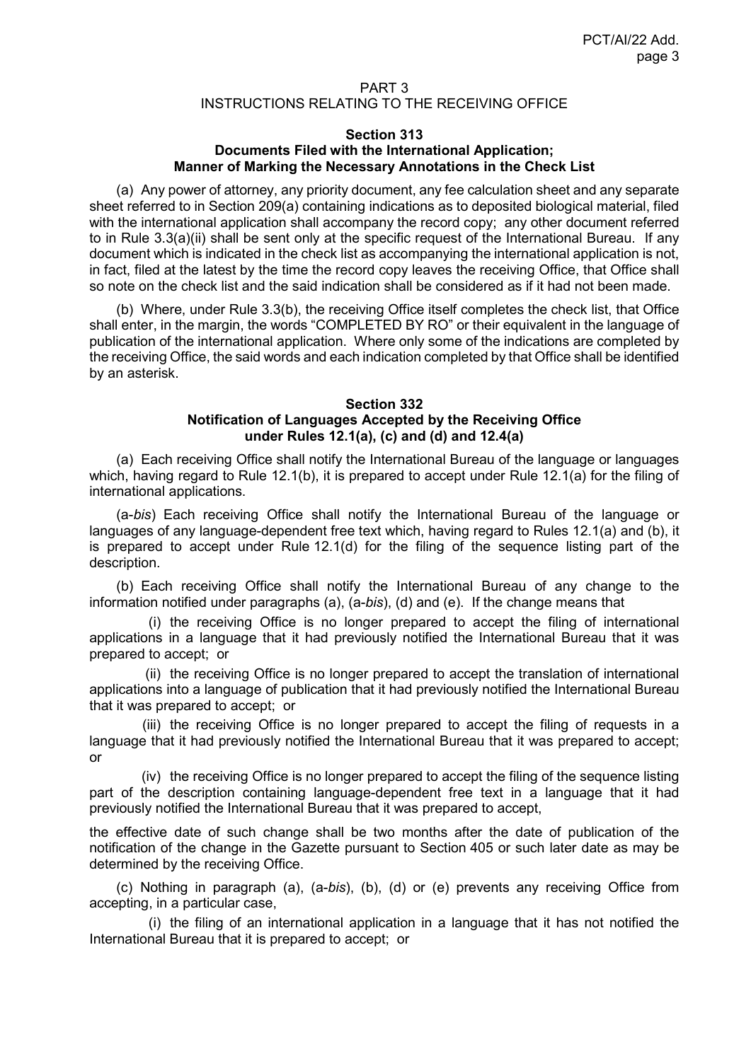### PART 3 INSTRUCTIONS RELATING TO THE RECEIVING OFFICE

#### **Section 313 Documents Filed with the International Application; Manner of Marking the Necessary Annotations in the Check List**

(a) Any power of attorney, any priority document, any fee calculation sheet and any separate sheet referred to in Section 209(a) containing indications as to deposited biological material, filed with the international application shall accompany the record copy; any other document referred to in Rule 3.3(a)(ii) shall be sent only at the specific request of the International Bureau. If any document which is indicated in the check list as accompanying the international application is not, in fact, filed at the latest by the time the record copy leaves the receiving Office, that Office shall so note on the check list and the said indication shall be considered as if it had not been made.

(b) Where, under Rule 3.3(b), the receiving Office itself completes the check list, that Office shall enter, in the margin, the words "COMPLETED BY RO" or their equivalent in the language of publication of the international application. Where only some of the indications are completed by the receiving Office, the said words and each indication completed by that Office shall be identified by an asterisk.

#### **Section 332 Notification of Languages Accepted by the Receiving Office under Rules 12.1(a), (c) and (d) and 12.4(a)**

(a) Each receiving Office shall notify the International Bureau of the language or languages which, having regard to Rule 12.1(b), it is prepared to accept under Rule 12.1(a) for the filing of international applications.

(a-*bis*) Each receiving Office shall notify the International Bureau of the language or languages of any language-dependent free text which, having regard to Rules 12.1(a) and (b), it is prepared to accept under Rule 12.1(d) for the filing of the sequence listing part of the description.

(b) Each receiving Office shall notify the International Bureau of any change to the information notified under paragraphs (a), (a-*bis*), (d) and (e). If the change means that

(i) the receiving Office is no longer prepared to accept the filing of international applications in a language that it had previously notified the International Bureau that it was prepared to accept; or

(ii) the receiving Office is no longer prepared to accept the translation of international applications into a language of publication that it had previously notified the International Bureau that it was prepared to accept; or

(iii) the receiving Office is no longer prepared to accept the filing of requests in a language that it had previously notified the International Bureau that it was prepared to accept; or

(iv) the receiving Office is no longer prepared to accept the filing of the sequence listing part of the description containing language-dependent free text in a language that it had previously notified the International Bureau that it was prepared to accept,

the effective date of such change shall be two months after the date of publication of the notification of the change in the Gazette pursuant to Section 405 or such later date as may be determined by the receiving Office.

(c) Nothing in paragraph (a), (a-*bis*), (b), (d) or (e) prevents any receiving Office from accepting, in a particular case,

(i) the filing of an international application in a language that it has not notified the International Bureau that it is prepared to accept; or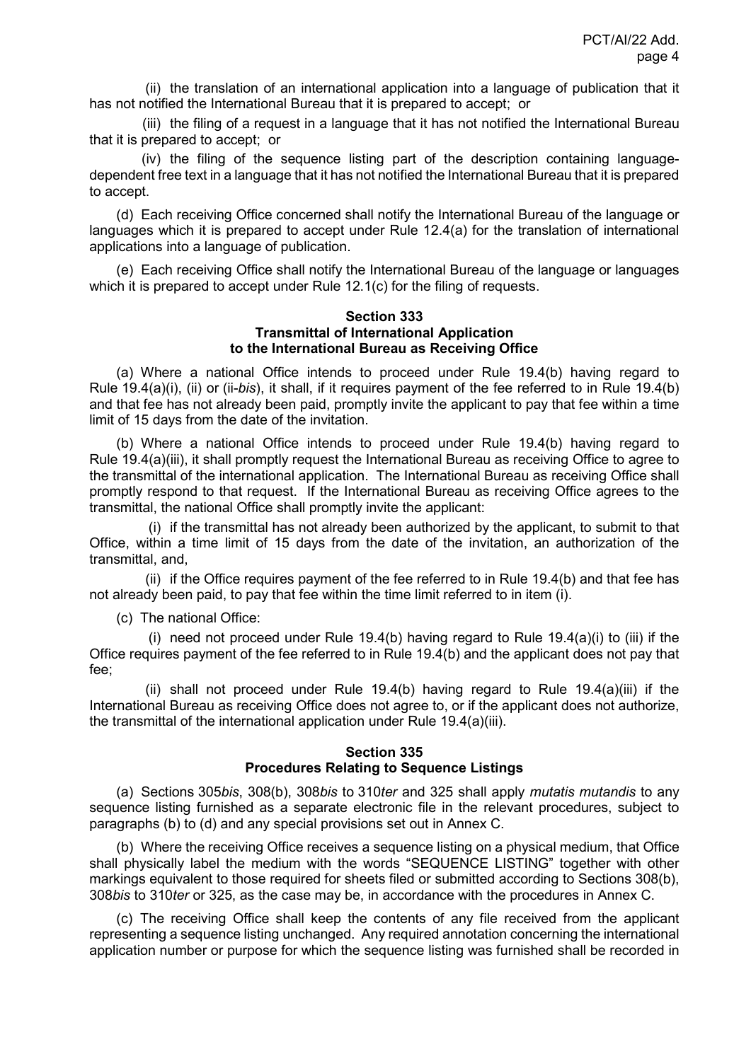(ii) the translation of an international application into a language of publication that it has not notified the International Bureau that it is prepared to accept; or

(iii) the filing of a request in a language that it has not notified the International Bureau that it is prepared to accept; or

(iv) the filing of the sequence listing part of the description containing languagedependent free text in a language that it has not notified the International Bureau that it is prepared to accept.

(d) Each receiving Office concerned shall notify the International Bureau of the language or languages which it is prepared to accept under Rule 12.4(a) for the translation of international applications into a language of publication.

(e) Each receiving Office shall notify the International Bureau of the language or languages which it is prepared to accept under Rule 12.1(c) for the filing of requests.

#### **Section 333 Transmittal of International Application to the International Bureau as Receiving Office**

(a) Where a national Office intends to proceed under Rule 19.4(b) having regard to Rule 19.4(a)(i), (ii) or (ii-*bis*), it shall, if it requires payment of the fee referred to in Rule 19.4(b) and that fee has not already been paid, promptly invite the applicant to pay that fee within a time limit of 15 days from the date of the invitation.

(b) Where a national Office intends to proceed under Rule 19.4(b) having regard to Rule 19.4(a)(iii), it shall promptly request the International Bureau as receiving Office to agree to the transmittal of the international application. The International Bureau as receiving Office shall promptly respond to that request. If the International Bureau as receiving Office agrees to the transmittal, the national Office shall promptly invite the applicant:

(i) if the transmittal has not already been authorized by the applicant, to submit to that Office, within a time limit of 15 days from the date of the invitation, an authorization of the transmittal, and,

(ii) if the Office requires payment of the fee referred to in Rule 19.4(b) and that fee has not already been paid, to pay that fee within the time limit referred to in item (i).

(c) The national Office:

(i) need not proceed under Rule 19.4(b) having regard to Rule 19.4(a)(i) to (iii) if the Office requires payment of the fee referred to in Rule 19.4(b) and the applicant does not pay that fee;

(ii) shall not proceed under Rule 19.4(b) having regard to Rule 19.4(a)(iii) if the International Bureau as receiving Office does not agree to, or if the applicant does not authorize, the transmittal of the international application under Rule 19.4(a)(iii).

## **Section 335 Procedures Relating to Sequence Listings**

(a) Sections 305*bis*, 308(b), 308*bis* to 310*ter* and 325 shall apply *mutatis mutandis* to any sequence listing furnished as a separate electronic file in the relevant procedures, subject to paragraphs (b) to (d) and any special provisions set out in Annex C.

(b) Where the receiving Office receives a sequence listing on a physical medium, that Office shall physically label the medium with the words "SEQUENCE LISTING" together with other markings equivalent to those required for sheets filed or submitted according to Sections 308(b), 308*bis* to 310*ter* or 325, as the case may be, in accordance with the procedures in Annex C.

(c) The receiving Office shall keep the contents of any file received from the applicant representing a sequence listing unchanged. Any required annotation concerning the international application number or purpose for which the sequence listing was furnished shall be recorded in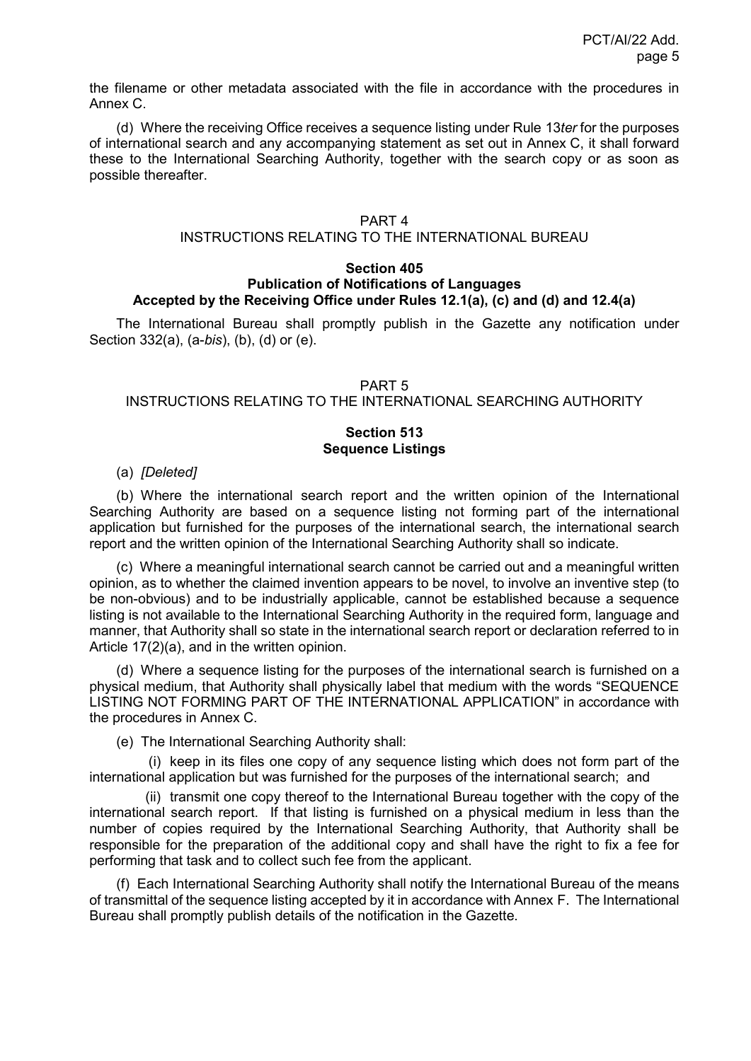the filename or other metadata associated with the file in accordance with the procedures in Annex C.

(d) Where the receiving Office receives a sequence listing under Rule 13*ter* for the purposes of international search and any accompanying statement as set out in Annex C, it shall forward these to the International Searching Authority, together with the search copy or as soon as possible thereafter.

#### PART 4

### INSTRUCTIONS RELATING TO THE INTERNATIONAL BUREAU

#### **Section 405 Publication of Notifications of Languages Accepted by the Receiving Office under Rules 12.1(a), (c) and (d) and 12.4(a)**

The International Bureau shall promptly publish in the Gazette any notification under Section 332(a), (a-*bis*), (b), (d) or (e).

#### PART 5

#### INSTRUCTIONS RELATING TO THE INTERNATIONAL SEARCHING AUTHORITY

#### **Section 513 Sequence Listings**

(a) *[Deleted]*

(b) Where the international search report and the written opinion of the International Searching Authority are based on a sequence listing not forming part of the international application but furnished for the purposes of the international search, the international search report and the written opinion of the International Searching Authority shall so indicate.

(c) Where a meaningful international search cannot be carried out and a meaningful written opinion, as to whether the claimed invention appears to be novel, to involve an inventive step (to be non-obvious) and to be industrially applicable, cannot be established because a sequence listing is not available to the International Searching Authority in the required form, language and manner, that Authority shall so state in the international search report or declaration referred to in Article 17(2)(a), and in the written opinion.

(d) Where a sequence listing for the purposes of the international search is furnished on a physical medium, that Authority shall physically label that medium with the words "SEQUENCE LISTING NOT FORMING PART OF THE INTERNATIONAL APPLICATION" in accordance with the procedures in Annex C.

(e) The International Searching Authority shall:

(i) keep in its files one copy of any sequence listing which does not form part of the international application but was furnished for the purposes of the international search; and

(ii) transmit one copy thereof to the International Bureau together with the copy of the international search report. If that listing is furnished on a physical medium in less than the number of copies required by the International Searching Authority, that Authority shall be responsible for the preparation of the additional copy and shall have the right to fix a fee for performing that task and to collect such fee from the applicant.

(f) Each International Searching Authority shall notify the International Bureau of the means of transmittal of the sequence listing accepted by it in accordance with Annex F. The International Bureau shall promptly publish details of the notification in the Gazette.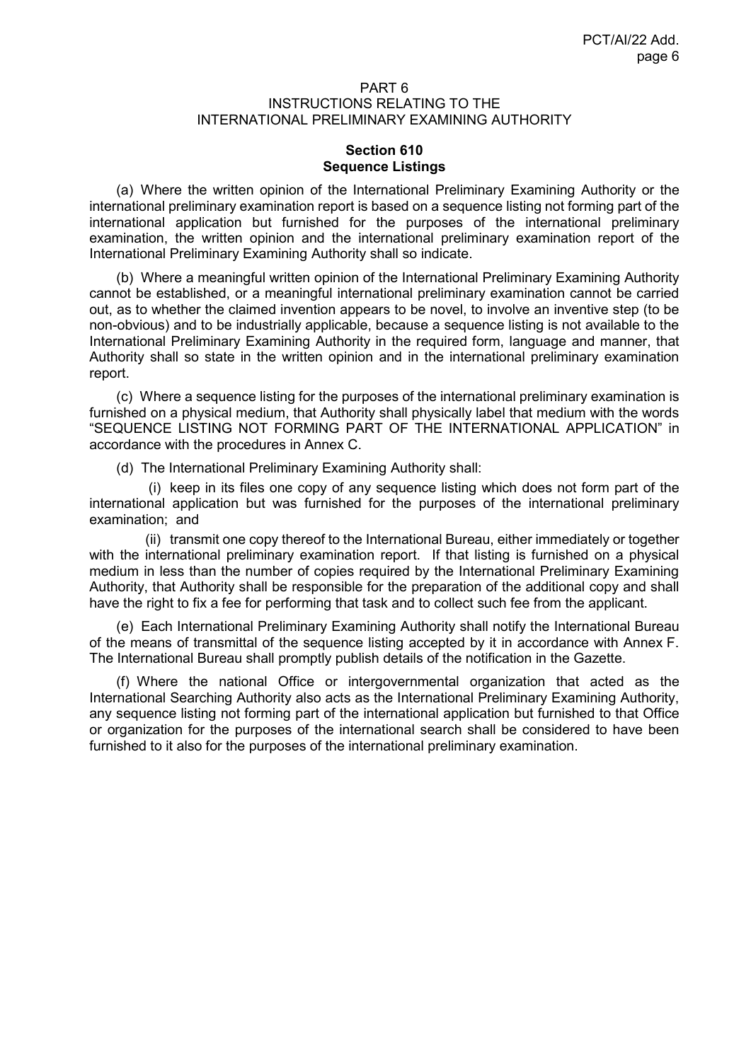#### PART 6 INSTRUCTIONS RELATING TO THE INTERNATIONAL PRELIMINARY EXAMINING AUTHORITY

### **Section 610 Sequence Listings**

(a) Where the written opinion of the International Preliminary Examining Authority or the international preliminary examination report is based on a sequence listing not forming part of the international application but furnished for the purposes of the international preliminary examination, the written opinion and the international preliminary examination report of the International Preliminary Examining Authority shall so indicate.

(b) Where a meaningful written opinion of the International Preliminary Examining Authority cannot be established, or a meaningful international preliminary examination cannot be carried out, as to whether the claimed invention appears to be novel, to involve an inventive step (to be non-obvious) and to be industrially applicable, because a sequence listing is not available to the International Preliminary Examining Authority in the required form, language and manner, that Authority shall so state in the written opinion and in the international preliminary examination report.

(c) Where a sequence listing for the purposes of the international preliminary examination is furnished on a physical medium, that Authority shall physically label that medium with the words "SEQUENCE LISTING NOT FORMING PART OF THE INTERNATIONAL APPLICATION" in accordance with the procedures in Annex C.

(d) The International Preliminary Examining Authority shall:

(i) keep in its files one copy of any sequence listing which does not form part of the international application but was furnished for the purposes of the international preliminary examination; and

(ii) transmit one copy thereof to the International Bureau, either immediately or together with the international preliminary examination report. If that listing is furnished on a physical medium in less than the number of copies required by the International Preliminary Examining Authority, that Authority shall be responsible for the preparation of the additional copy and shall have the right to fix a fee for performing that task and to collect such fee from the applicant.

(e) Each International Preliminary Examining Authority shall notify the International Bureau of the means of transmittal of the sequence listing accepted by it in accordance with Annex F. The International Bureau shall promptly publish details of the notification in the Gazette.

(f) Where the national Office or intergovernmental organization that acted as the International Searching Authority also acts as the International Preliminary Examining Authority, any sequence listing not forming part of the international application but furnished to that Office or organization for the purposes of the international search shall be considered to have been furnished to it also for the purposes of the international preliminary examination.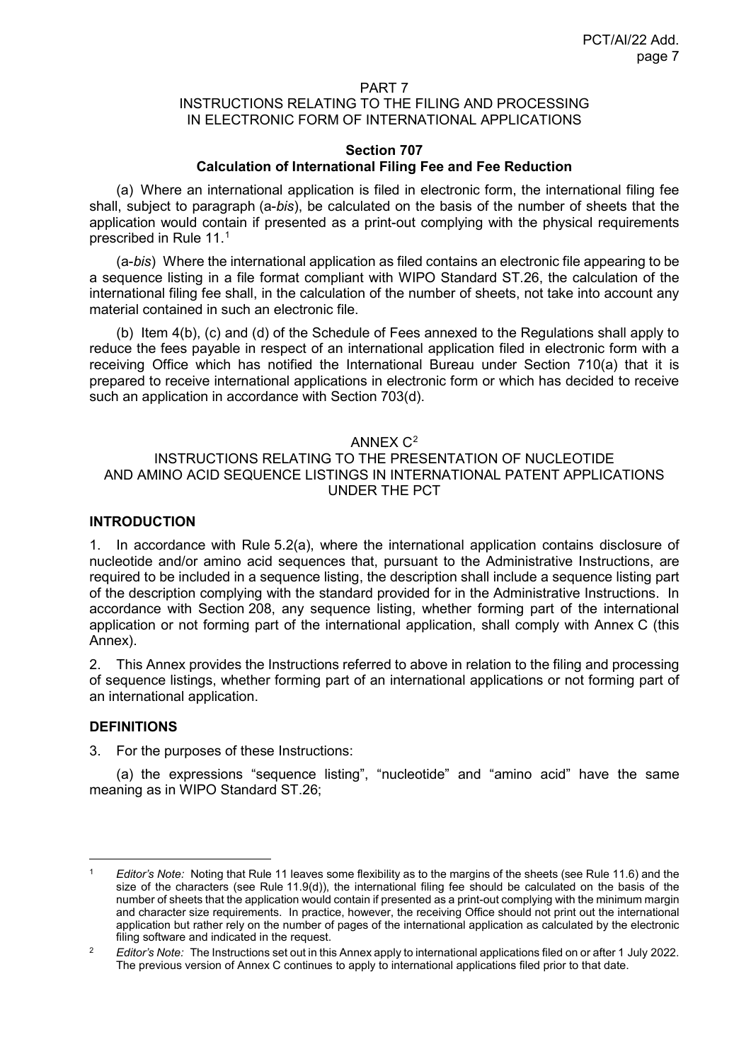#### PART 7

### INSTRUCTIONS RELATING TO THE FILING AND PROCESSING IN ELECTRONIC FORM OF INTERNATIONAL APPLICATIONS

#### **Section 707 Calculation of International Filing Fee and Fee Reduction**

(a) Where an international application is filed in electronic form, the international filing fee shall, subject to paragraph (a-*bis*), be calculated on the basis of the number of sheets that the application would contain if presented as a print-out complying with the physical requirements prescribed in Rule 11. [1](#page-6-0)

(a-*bis*) Where the international application as filed contains an electronic file appearing to be a sequence listing in a file format compliant with WIPO Standard ST.26, the calculation of the international filing fee shall, in the calculation of the number of sheets, not take into account any material contained in such an electronic file.

(b) Item 4(b), (c) and (d) of the Schedule of Fees annexed to the Regulations shall apply to reduce the fees payable in respect of an international application filed in electronic form with a receiving Office which has notified the International Bureau under Section 710(a) that it is prepared to receive international applications in electronic form or which has decided to receive such an application in accordance with Section 703(d).

#### ANNEX  $C^2$  $C^2$

## INSTRUCTIONS RELATING TO THE PRESENTATION OF NUCLEOTIDE AND AMINO ACID SEQUENCE LISTINGS IN INTERNATIONAL PATENT APPLICATIONS UNDER THE PCT

#### **INTRODUCTION**

1. In accordance with Rule 5.2(a), where the international application contains disclosure of nucleotide and/or amino acid sequences that, pursuant to the Administrative Instructions, are required to be included in a sequence listing, the description shall include a sequence listing part of the description complying with the standard provided for in the Administrative Instructions. In accordance with Section 208, any sequence listing, whether forming part of the international application or not forming part of the international application, shall comply with Annex C (this Annex).

2. This Annex provides the Instructions referred to above in relation to the filing and processing of sequence listings, whether forming part of an international applications or not forming part of an international application.

### **DEFINITIONS**

3. For the purposes of these Instructions:

(a) the expressions "sequence listing", "nucleotide" and "amino acid" have the same meaning as in WIPO Standard ST.26;

<span id="page-6-0"></span> <sup>1</sup> *Editor's Note:* Noting that Rule 11 leaves some flexibility as to the margins of the sheets (see Rule 11.6) and the size of the characters (see Rule 11.9(d)), the international filing fee should be calculated on the basis of the number of sheets that the application would contain if presented as a print-out complying with the minimum margin and character size requirements. In practice, however, the receiving Office should not print out the international application but rather rely on the number of pages of the international application as calculated by the electronic filing software and indicated in the request.

<span id="page-6-1"></span><sup>2</sup> *Editor's Note:* The Instructions set out in this Annex apply to international applications filed on or after 1 July 2022. The previous version of Annex C continues to apply to international applications filed prior to that date.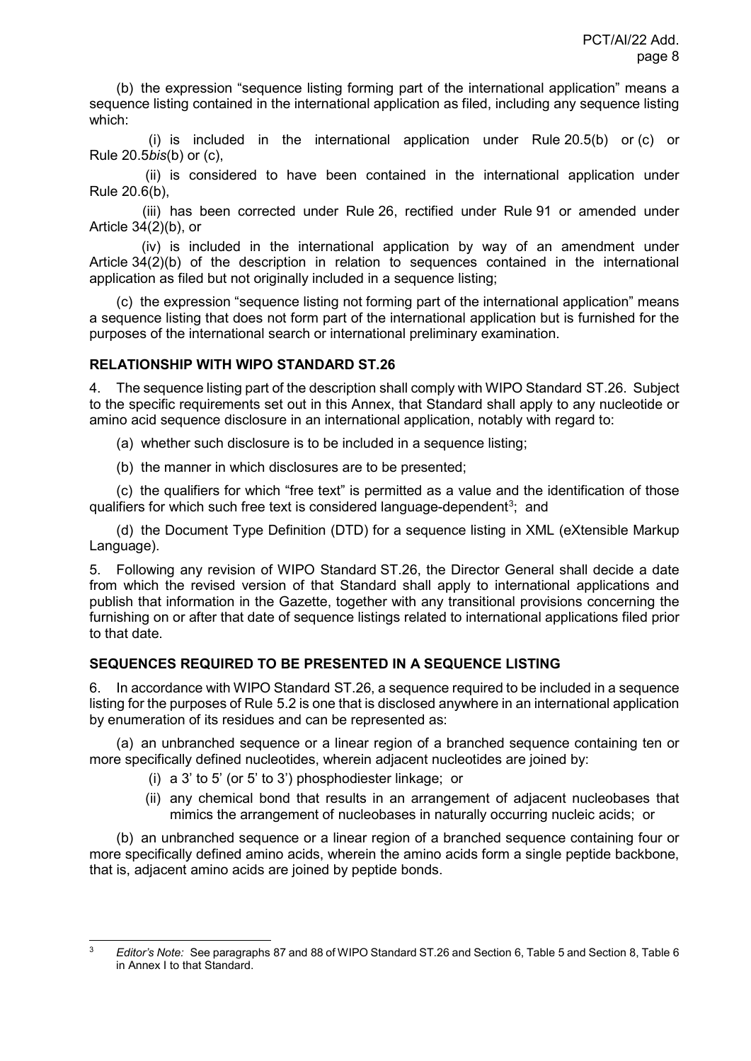(b) the expression "sequence listing forming part of the international application" means a sequence listing contained in the international application as filed, including any sequence listing which:

(i) is included in the international application under Rule 20.5(b) or (c) or Rule 20.5*bis*(b) or (c),

(ii) is considered to have been contained in the international application under Rule 20.6(b),

(iii) has been corrected under Rule 26, rectified under Rule 91 or amended under Article 34(2)(b), or

(iv) is included in the international application by way of an amendment under Article 34(2)(b) of the description in relation to sequences contained in the international application as filed but not originally included in a sequence listing;

(c) the expression "sequence listing not forming part of the international application" means a sequence listing that does not form part of the international application but is furnished for the purposes of the international search or international preliminary examination.

## **RELATIONSHIP WITH WIPO STANDARD ST.26**

4. The sequence listing part of the description shall comply with WIPO Standard ST.26. Subject to the specific requirements set out in this Annex, that Standard shall apply to any nucleotide or amino acid sequence disclosure in an international application, notably with regard to:

- (a) whether such disclosure is to be included in a sequence listing;
- (b) the manner in which disclosures are to be presented;

(c) the qualifiers for which "free text" is permitted as a value and the identification of those qualifiers for which such free text is considered language-dependent $^3\!;~$  $^3\!;~$  $^3\!;~$  and

(d) the Document Type Definition (DTD) for a sequence listing in XML (eXtensible Markup Language).

5. Following any revision of WIPO Standard ST.26, the Director General shall decide a date from which the revised version of that Standard shall apply to international applications and publish that information in the Gazette, together with any transitional provisions concerning the furnishing on or after that date of sequence listings related to international applications filed prior to that date.

# **SEQUENCES REQUIRED TO BE PRESENTED IN A SEQUENCE LISTING**

6. In accordance with WIPO Standard ST.26, a sequence required to be included in a sequence listing for the purposes of Rule 5.2 is one that is disclosed anywhere in an international application by enumeration of its residues and can be represented as:

(a) an unbranched sequence or a linear region of a branched sequence containing ten or more specifically defined nucleotides, wherein adjacent nucleotides are joined by:

- (i) a 3' to 5' (or 5' to 3') phosphodiester linkage; or
- (ii) any chemical bond that results in an arrangement of adjacent nucleobases that mimics the arrangement of nucleobases in naturally occurring nucleic acids; or

(b) an unbranched sequence or a linear region of a branched sequence containing four or more specifically defined amino acids, wherein the amino acids form a single peptide backbone, that is, adjacent amino acids are joined by peptide bonds.

<span id="page-7-0"></span> <sup>3</sup> *Editor's Note:* See paragraphs 87 and 88 of WIPO Standard ST.26 and Section 6, Table 5 and Section 8, Table <sup>6</sup> in Annex I to that Standard.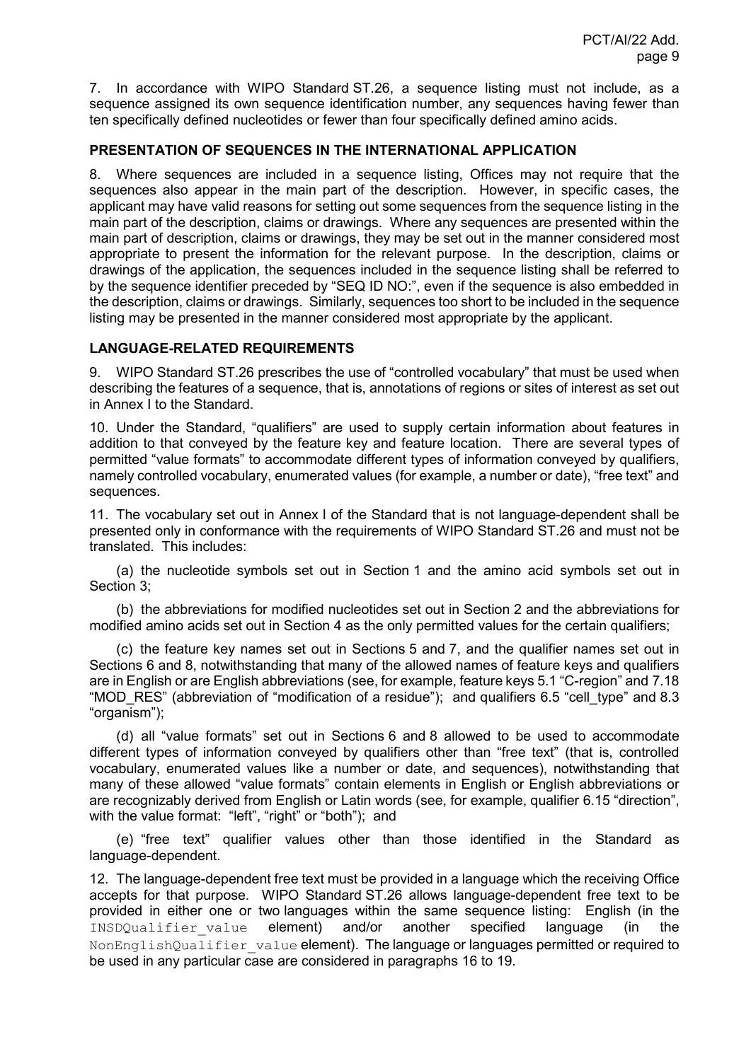7. In accordance with WIPO Standard ST.26, a sequence listing must not include, as a sequence assigned its own sequence identification number, any sequences having fewer than ten specifically defined nucleotides or fewer than four specifically defined amino acids.

### **PRESENTATION OF SEQUENCES IN THE INTERNATIONAL APPLICATION**

8. Where sequences are included in a sequence listing, Offices may not require that the sequences also appear in the main part of the description. However, in specific cases, the applicant may have valid reasons for setting out some sequences from the sequence listing in the main part of the description, claims or drawings. Where any sequences are presented within the main part of description, claims or drawings, they may be set out in the manner considered most appropriate to present the information for the relevant purpose. In the description, claims or drawings of the application, the sequences included in the sequence listing shall be referred to by the sequence identifier preceded by "SEQ ID NO:", even if the sequence is also embedded in the description, claims or drawings. Similarly, sequences too short to be included in the sequence listing may be presented in the manner considered most appropriate by the applicant.

## **LANGUAGE-RELATED REQUIREMENTS**

9. WIPO Standard ST.26 prescribes the use of "controlled vocabulary" that must be used when describing the features of a sequence, that is, annotations of regions or sites of interest as set out in Annex I to the Standard.

10. Under the Standard, "qualifiers" are used to supply certain information about features in addition to that conveyed by the feature key and feature location. There are several types of permitted "value formats" to accommodate different types of information conveyed by qualifiers, namely controlled vocabulary, enumerated values (for example, a number or date), "free text" and sequences.

11. The vocabulary set out in Annex I of the Standard that is not language-dependent shall be presented only in conformance with the requirements of WIPO Standard ST.26 and must not be translated. This includes:

(a) the nucleotide symbols set out in Section 1 and the amino acid symbols set out in Section 3;

(b) the abbreviations for modified nucleotides set out in Section 2 and the abbreviations for modified amino acids set out in Section 4 as the only permitted values for the certain qualifiers;

(c) the feature key names set out in Sections 5 and 7, and the qualifier names set out in Sections 6 and 8, notwithstanding that many of the allowed names of feature keys and qualifiers are in English or are English abbreviations (see, for example, feature keys 5.1 "C-region" and 7.18 "MOD\_RES" (abbreviation of "modification of a residue"); and qualifiers 6.5 "cell\_type" and 8.3 "organism");

(d) all "value formats" set out in Sections 6 and 8 allowed to be used to accommodate different types of information conveyed by qualifiers other than "free text" (that is, controlled vocabulary, enumerated values like a number or date, and sequences), notwithstanding that many of these allowed "value formats" contain elements in English or English abbreviations or are recognizably derived from English or Latin words (see, for example, qualifier 6.15 "direction", with the value format: "left", "right" or "both"); and

(e) "free text" qualifier values other than those identified in the Standard as language-dependent.

12. The language-dependent free text must be provided in a language which the receiving Office accepts for that purpose. WIPO Standard ST.26 allows language-dependent free text to be provided in either one or two languages within the same sequence listing: English (in the INSDQualifier value element) and/or another specified language (in the NonEnglishQualifier value element). The language or languages permitted or required to be used in any particular case are considered in paragraphs 16 to 19.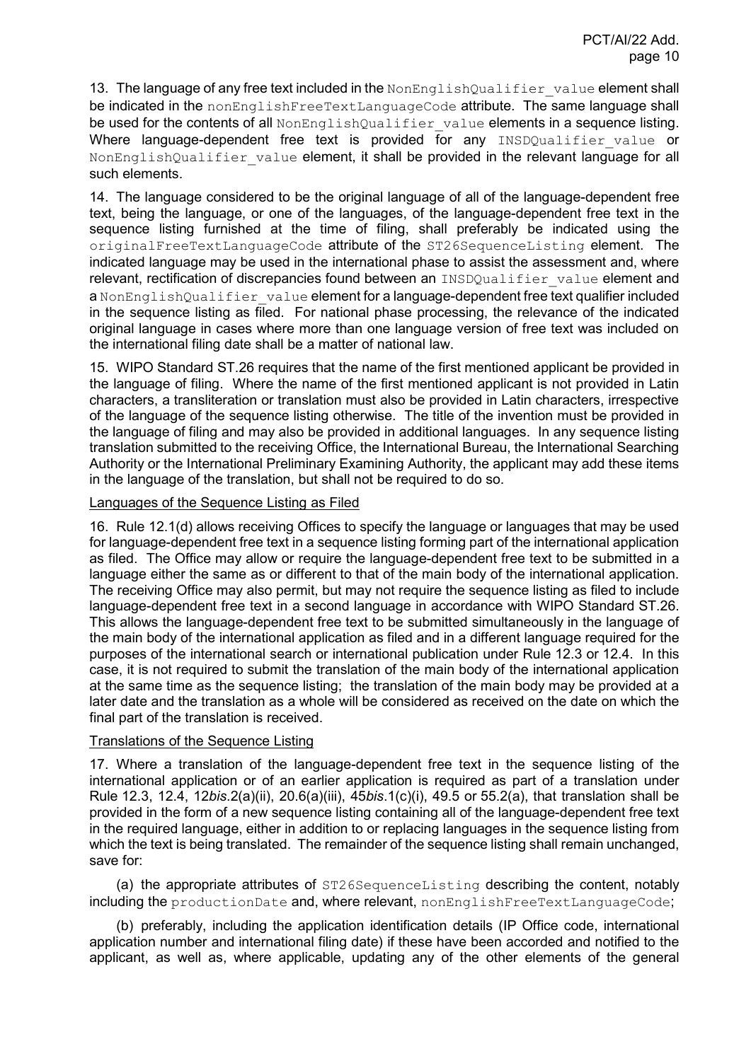13. The language of any free text included in the NonEnglishQualifier value element shall be indicated in the nonEnglishFreeTextLanguageCode attribute. The same language shall be used for the contents of all NonEnglishQualifier value elements in a sequence listing. Where language-dependent free text is provided for any INSDQualifier value or NonEnglishQualifier value element, it shall be provided in the relevant language for all such elements.

14. The language considered to be the original language of all of the language-dependent free text, being the language, or one of the languages, of the language-dependent free text in the sequence listing furnished at the time of filing, shall preferably be indicated using the originalFreeTextLanguageCode attribute of the ST26SequenceListing element. The indicated language may be used in the international phase to assist the assessment and, where relevant, rectification of discrepancies found between an INSDQualifier value element and a NonEnglishQualifier value element for a language-dependent free text qualifier included in the sequence listing as filed. For national phase processing, the relevance of the indicated original language in cases where more than one language version of free text was included on the international filing date shall be a matter of national law.

15. WIPO Standard ST.26 requires that the name of the first mentioned applicant be provided in the language of filing. Where the name of the first mentioned applicant is not provided in Latin characters, a transliteration or translation must also be provided in Latin characters, irrespective of the language of the sequence listing otherwise. The title of the invention must be provided in the language of filing and may also be provided in additional languages. In any sequence listing translation submitted to the receiving Office, the International Bureau, the International Searching Authority or the International Preliminary Examining Authority, the applicant may add these items in the language of the translation, but shall not be required to do so.

### Languages of the Sequence Listing as Filed

16. Rule 12.1(d) allows receiving Offices to specify the language or languages that may be used for language-dependent free text in a sequence listing forming part of the international application as filed. The Office may allow or require the language-dependent free text to be submitted in a language either the same as or different to that of the main body of the international application. The receiving Office may also permit, but may not require the sequence listing as filed to include language-dependent free text in a second language in accordance with WIPO Standard ST.26. This allows the language-dependent free text to be submitted simultaneously in the language of the main body of the international application as filed and in a different language required for the purposes of the international search or international publication under Rule 12.3 or 12.4. In this case, it is not required to submit the translation of the main body of the international application at the same time as the sequence listing; the translation of the main body may be provided at a later date and the translation as a whole will be considered as received on the date on which the final part of the translation is received.

#### Translations of the Sequence Listing

17. Where a translation of the language-dependent free text in the sequence listing of the international application or of an earlier application is required as part of a translation under Rule 12.3, 12.4, 12*bis*.2(a)(ii), 20.6(a)(iii), 45*bis*.1(c)(i), 49.5 or 55.2(a), that translation shall be provided in the form of a new sequence listing containing all of the language-dependent free text in the required language, either in addition to or replacing languages in the sequence listing from which the text is being translated. The remainder of the sequence listing shall remain unchanged, save for:

(a) the appropriate attributes of ST26SequenceListing describing the content, notably including the productionDate and, where relevant, nonEnglishFreeTextLanguageCode;

(b) preferably, including the application identification details (IP Office code, international application number and international filing date) if these have been accorded and notified to the applicant, as well as, where applicable, updating any of the other elements of the general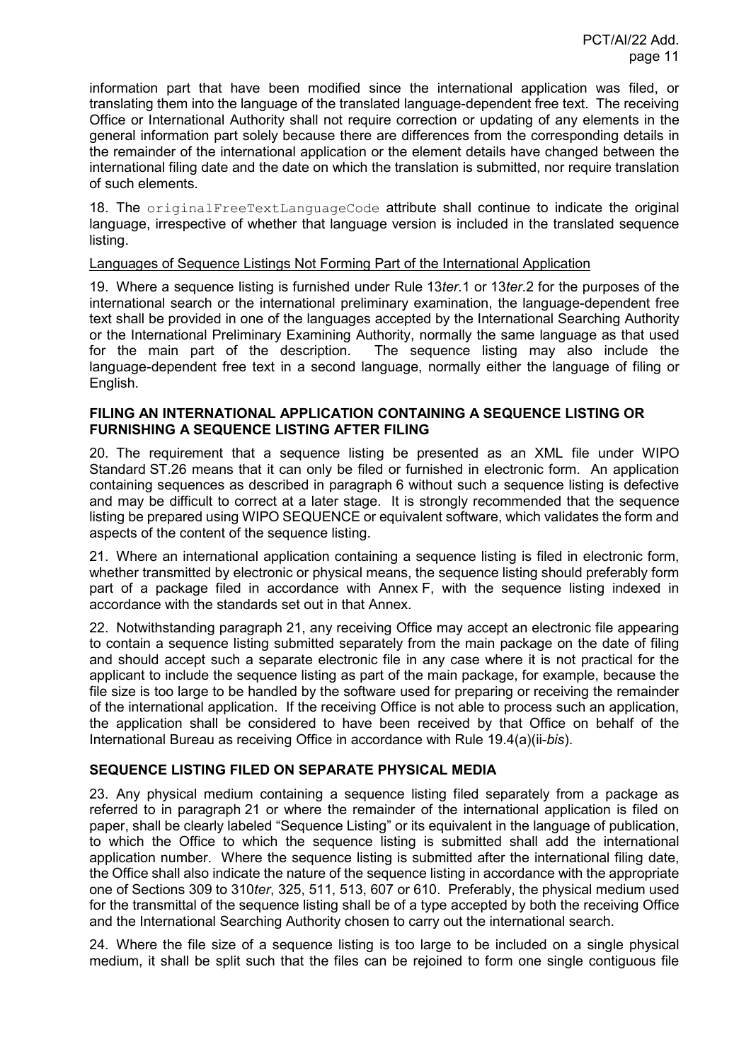information part that have been modified since the international application was filed, or translating them into the language of the translated language-dependent free text. The receiving Office or International Authority shall not require correction or updating of any elements in the general information part solely because there are differences from the corresponding details in the remainder of the international application or the element details have changed between the international filing date and the date on which the translation is submitted, nor require translation of such elements.

18. The originalFreeTextLanguageCode attribute shall continue to indicate the original language, irrespective of whether that language version is included in the translated sequence listing.

### Languages of Sequence Listings Not Forming Part of the International Application

19. Where a sequence listing is furnished under Rule 13*ter*.1 or 13*ter*.2 for the purposes of the international search or the international preliminary examination, the language-dependent free text shall be provided in one of the languages accepted by the International Searching Authority or the International Preliminary Examining Authority, normally the same language as that used<br>for the main part of the description. The sequence listing may also include the The sequence listing may also include the language-dependent free text in a second language, normally either the language of filing or English.

### **FILING AN INTERNATIONAL APPLICATION CONTAINING A SEQUENCE LISTING OR FURNISHING A SEQUENCE LISTING AFTER FILING**

20. The requirement that a sequence listing be presented as an XML file under WIPO Standard ST.26 means that it can only be filed or furnished in electronic form. An application containing sequences as described in paragraph 6 without such a sequence listing is defective and may be difficult to correct at a later stage. It is strongly recommended that the sequence listing be prepared using WIPO SEQUENCE or equivalent software, which validates the form and aspects of the content of the sequence listing.

21. Where an international application containing a sequence listing is filed in electronic form, whether transmitted by electronic or physical means, the sequence listing should preferably form part of a package filed in accordance with Annex F, with the sequence listing indexed in accordance with the standards set out in that Annex.

22. Notwithstanding paragraph 21, any receiving Office may accept an electronic file appearing to contain a sequence listing submitted separately from the main package on the date of filing and should accept such a separate electronic file in any case where it is not practical for the applicant to include the sequence listing as part of the main package, for example, because the file size is too large to be handled by the software used for preparing or receiving the remainder of the international application. If the receiving Office is not able to process such an application, the application shall be considered to have been received by that Office on behalf of the International Bureau as receiving Office in accordance with Rule 19.4(a)(ii-*bis*).

## **SEQUENCE LISTING FILED ON SEPARATE PHYSICAL MEDIA**

23. Any physical medium containing a sequence listing filed separately from a package as referred to in paragraph 21 or where the remainder of the international application is filed on paper, shall be clearly labeled "Sequence Listing" or its equivalent in the language of publication, to which the Office to which the sequence listing is submitted shall add the international application number. Where the sequence listing is submitted after the international filing date, the Office shall also indicate the nature of the sequence listing in accordance with the appropriate one of Sections 309 to 310*ter*, 325, 511, 513, 607 or 610. Preferably, the physical medium used for the transmittal of the sequence listing shall be of a type accepted by both the receiving Office and the International Searching Authority chosen to carry out the international search.

24. Where the file size of a sequence listing is too large to be included on a single physical medium, it shall be split such that the files can be rejoined to form one single contiguous file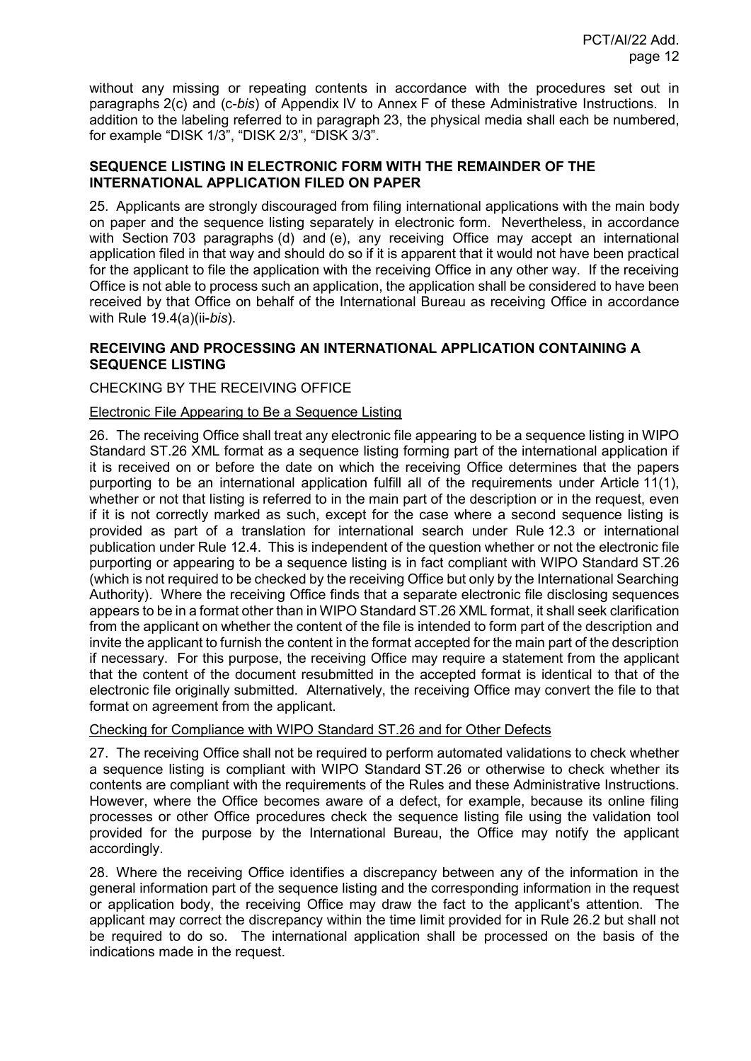without any missing or repeating contents in accordance with the procedures set out in paragraphs 2(c) and (c-*bis*) of Appendix IV to Annex F of these Administrative Instructions. In addition to the labeling referred to in paragraph 23, the physical media shall each be numbered, for example "DISK 1/3", "DISK 2/3", "DISK 3/3".

## **SEQUENCE LISTING IN ELECTRONIC FORM WITH THE REMAINDER OF THE INTERNATIONAL APPLICATION FILED ON PAPER**

25. Applicants are strongly discouraged from filing international applications with the main body on paper and the sequence listing separately in electronic form. Nevertheless, in accordance with Section 703 paragraphs (d) and (e), any receiving Office may accept an international application filed in that way and should do so if it is apparent that it would not have been practical for the applicant to file the application with the receiving Office in any other way. If the receiving Office is not able to process such an application, the application shall be considered to have been received by that Office on behalf of the International Bureau as receiving Office in accordance with Rule 19.4(a)(ii-*bis*).

## **RECEIVING AND PROCESSING AN INTERNATIONAL APPLICATION CONTAINING A SEQUENCE LISTING**

## CHECKING BY THE RECEIVING OFFICE

## Electronic File Appearing to Be a Sequence Listing

26. The receiving Office shall treat any electronic file appearing to be a sequence listing in WIPO Standard ST.26 XML format as a sequence listing forming part of the international application if it is received on or before the date on which the receiving Office determines that the papers purporting to be an international application fulfill all of the requirements under Article 11(1), whether or not that listing is referred to in the main part of the description or in the request, even if it is not correctly marked as such, except for the case where a second sequence listing is provided as part of a translation for international search under Rule 12.3 or international publication under Rule 12.4. This is independent of the question whether or not the electronic file purporting or appearing to be a sequence listing is in fact compliant with WIPO Standard ST.26 (which is not required to be checked by the receiving Office but only by the International Searching Authority). Where the receiving Office finds that a separate electronic file disclosing sequences appears to be in a format other than in WIPO Standard ST.26 XML format, it shall seek clarification from the applicant on whether the content of the file is intended to form part of the description and invite the applicant to furnish the content in the format accepted for the main part of the description if necessary. For this purpose, the receiving Office may require a statement from the applicant that the content of the document resubmitted in the accepted format is identical to that of the electronic file originally submitted. Alternatively, the receiving Office may convert the file to that format on agreement from the applicant.

## Checking for Compliance with WIPO Standard ST.26 and for Other Defects

27. The receiving Office shall not be required to perform automated validations to check whether a sequence listing is compliant with WIPO Standard ST.26 or otherwise to check whether its contents are compliant with the requirements of the Rules and these Administrative Instructions. However, where the Office becomes aware of a defect, for example, because its online filing processes or other Office procedures check the sequence listing file using the validation tool provided for the purpose by the International Bureau, the Office may notify the applicant accordingly.

28. Where the receiving Office identifies a discrepancy between any of the information in the general information part of the sequence listing and the corresponding information in the request or application body, the receiving Office may draw the fact to the applicant's attention. The applicant may correct the discrepancy within the time limit provided for in Rule 26.2 but shall not be required to do so. The international application shall be processed on the basis of the indications made in the request.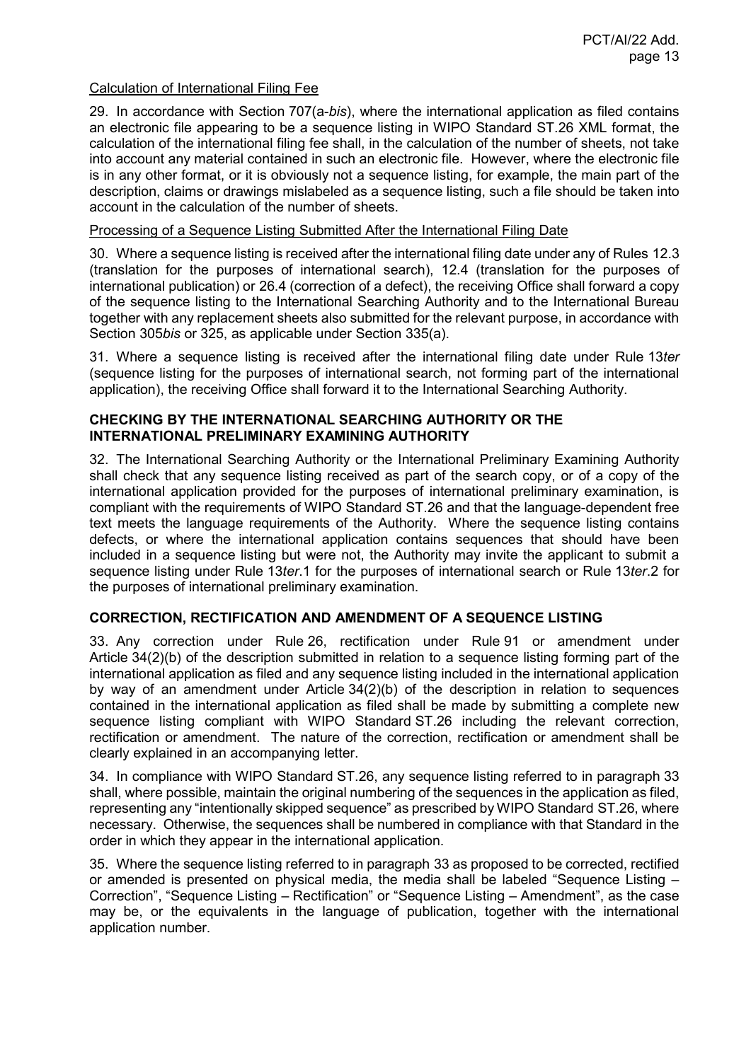### Calculation of International Filing Fee

29. In accordance with Section 707(a-*bis*), where the international application as filed contains an electronic file appearing to be a sequence listing in WIPO Standard ST.26 XML format, the calculation of the international filing fee shall, in the calculation of the number of sheets, not take into account any material contained in such an electronic file. However, where the electronic file is in any other format, or it is obviously not a sequence listing, for example, the main part of the description, claims or drawings mislabeled as a sequence listing, such a file should be taken into account in the calculation of the number of sheets.

#### Processing of a Sequence Listing Submitted After the International Filing Date

30. Where a sequence listing is received after the international filing date under any of Rules 12.3 (translation for the purposes of international search), 12.4 (translation for the purposes of international publication) or 26.4 (correction of a defect), the receiving Office shall forward a copy of the sequence listing to the International Searching Authority and to the International Bureau together with any replacement sheets also submitted for the relevant purpose, in accordance with Section 305*bis* or 325, as applicable under Section 335(a).

31. Where a sequence listing is received after the international filing date under Rule 13*ter* (sequence listing for the purposes of international search, not forming part of the international application), the receiving Office shall forward it to the International Searching Authority.

#### **CHECKING BY THE INTERNATIONAL SEARCHING AUTHORITY OR THE INTERNATIONAL PRELIMINARY EXAMINING AUTHORITY**

32. The International Searching Authority or the International Preliminary Examining Authority shall check that any sequence listing received as part of the search copy, or of a copy of the international application provided for the purposes of international preliminary examination, is compliant with the requirements of WIPO Standard ST.26 and that the language-dependent free text meets the language requirements of the Authority. Where the sequence listing contains defects, or where the international application contains sequences that should have been included in a sequence listing but were not, the Authority may invite the applicant to submit a sequence listing under Rule 13*ter*.1 for the purposes of international search or Rule 13*ter*.2 for the purposes of international preliminary examination.

## **CORRECTION, RECTIFICATION AND AMENDMENT OF A SEQUENCE LISTING**

33. Any correction under Rule 26, rectification under Rule 91 or amendment under Article 34(2)(b) of the description submitted in relation to a sequence listing forming part of the international application as filed and any sequence listing included in the international application by way of an amendment under Article 34(2)(b) of the description in relation to sequences contained in the international application as filed shall be made by submitting a complete new sequence listing compliant with WIPO Standard ST.26 including the relevant correction, rectification or amendment. The nature of the correction, rectification or amendment shall be clearly explained in an accompanying letter.

34. In compliance with WIPO Standard ST.26, any sequence listing referred to in paragraph 33 shall, where possible, maintain the original numbering of the sequences in the application as filed, representing any "intentionally skipped sequence" as prescribed by WIPO Standard ST.26, where necessary. Otherwise, the sequences shall be numbered in compliance with that Standard in the order in which they appear in the international application.

35. Where the sequence listing referred to in paragraph 33 as proposed to be corrected, rectified or amended is presented on physical media, the media shall be labeled "Sequence Listing – Correction", "Sequence Listing – Rectification" or "Sequence Listing – Amendment", as the case may be, or the equivalents in the language of publication, together with the international application number.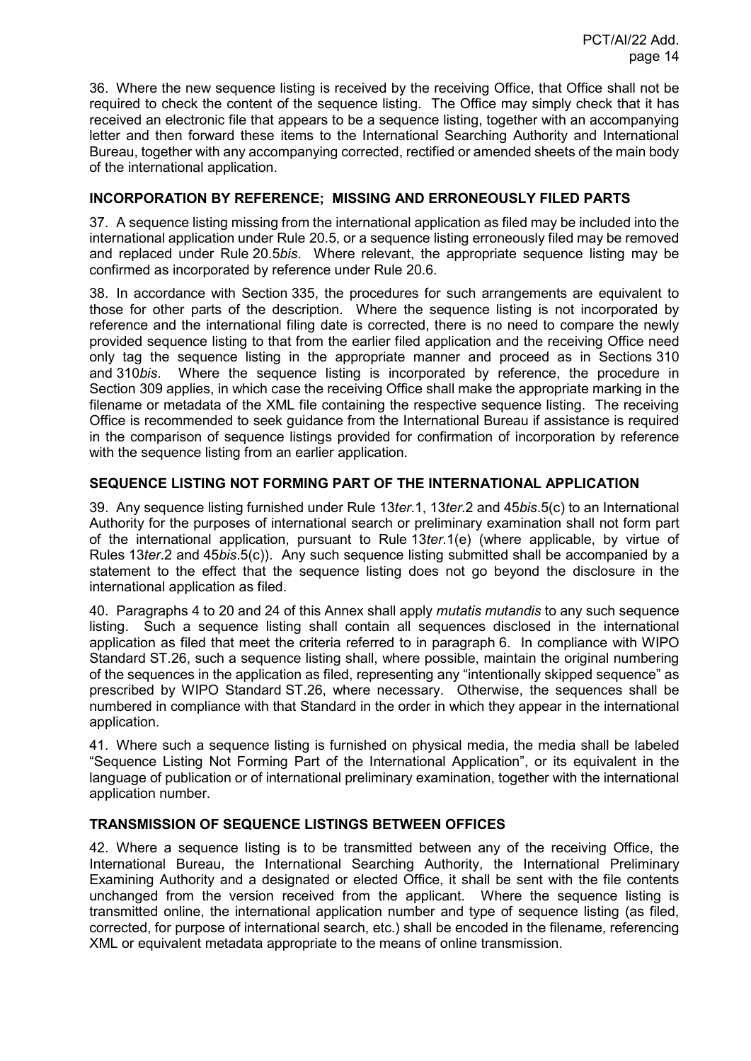36. Where the new sequence listing is received by the receiving Office, that Office shall not be required to check the content of the sequence listing. The Office may simply check that it has received an electronic file that appears to be a sequence listing, together with an accompanying letter and then forward these items to the International Searching Authority and International Bureau, together with any accompanying corrected, rectified or amended sheets of the main body of the international application.

## **INCORPORATION BY REFERENCE; MISSING AND ERRONEOUSLY FILED PARTS**

37. A sequence listing missing from the international application as filed may be included into the international application under Rule 20.5, or a sequence listing erroneously filed may be removed and replaced under Rule 20.5*bis*. Where relevant, the appropriate sequence listing may be confirmed as incorporated by reference under Rule 20.6.

38. In accordance with Section 335, the procedures for such arrangements are equivalent to those for other parts of the description. Where the sequence listing is not incorporated by reference and the international filing date is corrected, there is no need to compare the newly provided sequence listing to that from the earlier filed application and the receiving Office need only tag the sequence listing in the appropriate manner and proceed as in Sections 310 and 310*bis*. Where the sequence listing is incorporated by reference, the procedure in Section 309 applies, in which case the receiving Office shall make the appropriate marking in the filename or metadata of the XML file containing the respective sequence listing. The receiving Office is recommended to seek guidance from the International Bureau if assistance is required in the comparison of sequence listings provided for confirmation of incorporation by reference with the sequence listing from an earlier application.

## **SEQUENCE LISTING NOT FORMING PART OF THE INTERNATIONAL APPLICATION**

39. Any sequence listing furnished under Rule 13*ter*.1, 13*ter*.2 and 45*bis*.5(c) to an International Authority for the purposes of international search or preliminary examination shall not form part of the international application, pursuant to Rule 13*ter*.1(e) (where applicable, by virtue of Rules 13*ter*.2 and 45*bis*.5(c)). Any such sequence listing submitted shall be accompanied by a statement to the effect that the sequence listing does not go beyond the disclosure in the international application as filed.

40. Paragraphs 4 to 20 and 24 of this Annex shall apply *mutatis mutandis* to any such sequence listing. Such a sequence listing shall contain all sequences disclosed in the international application as filed that meet the criteria referred to in paragraph 6. In compliance with WIPO Standard ST.26, such a sequence listing shall, where possible, maintain the original numbering of the sequences in the application as filed, representing any "intentionally skipped sequence" as prescribed by WIPO Standard ST.26, where necessary. Otherwise, the sequences shall be numbered in compliance with that Standard in the order in which they appear in the international application.

41. Where such a sequence listing is furnished on physical media, the media shall be labeled "Sequence Listing Not Forming Part of the International Application", or its equivalent in the language of publication or of international preliminary examination, together with the international application number.

# **TRANSMISSION OF SEQUENCE LISTINGS BETWEEN OFFICES**

42. Where a sequence listing is to be transmitted between any of the receiving Office, the International Bureau, the International Searching Authority, the International Preliminary Examining Authority and a designated or elected Office, it shall be sent with the file contents unchanged from the version received from the applicant. Where the sequence listing is transmitted online, the international application number and type of sequence listing (as filed, corrected, for purpose of international search, etc.) shall be encoded in the filename, referencing XML or equivalent metadata appropriate to the means of online transmission.